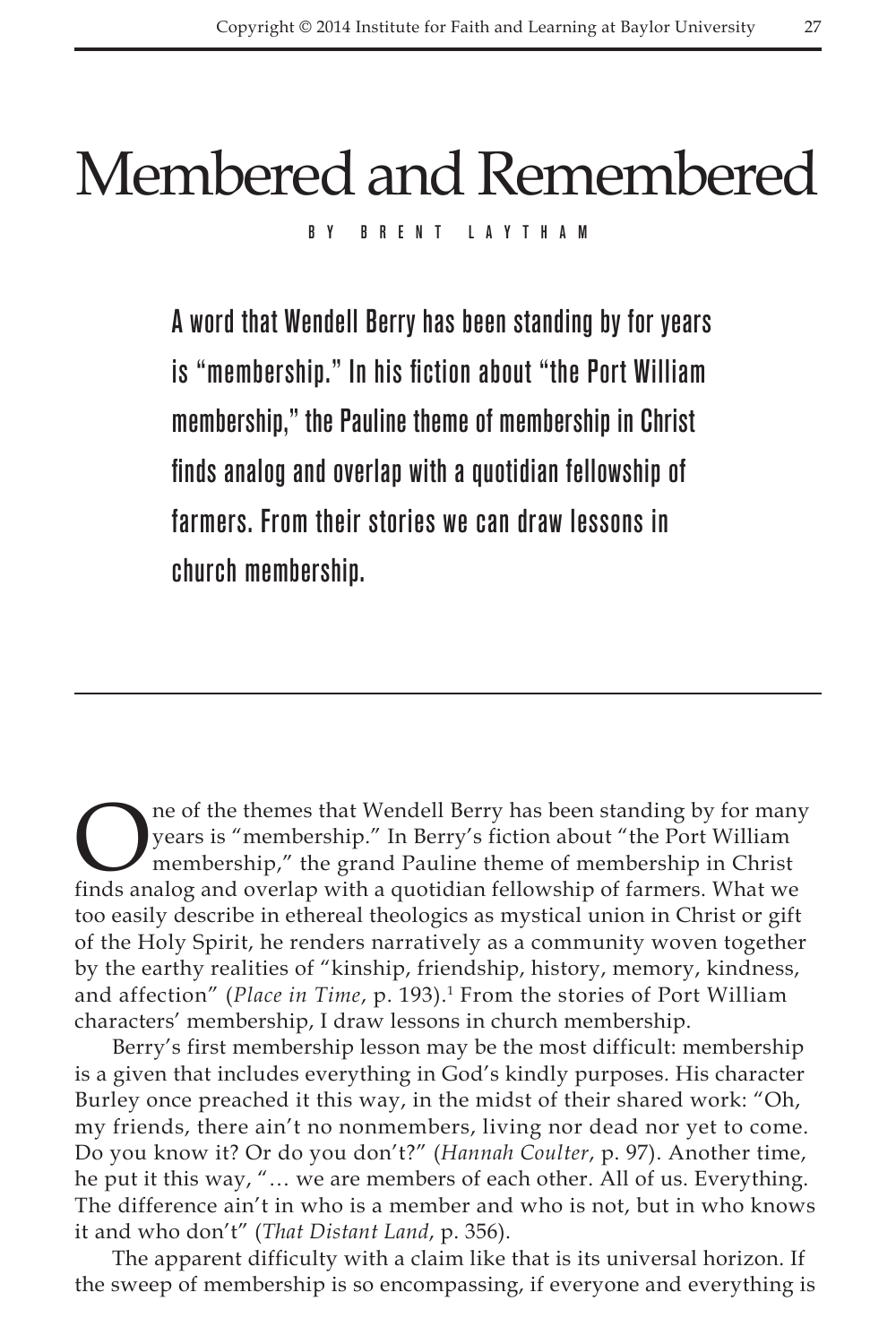## Membered and Remembered

By Brent Laytham

A word that Wendell Berry has been standing by for years is "membership." In his fiction about "the Port William membership," the Pauline theme of membership in Christ finds analog and overlap with a quotidian fellowship of farmers. From their stories we can draw lessons in church membership.

The of the themes that Wendell Berry has been standing by for many<br>years is "membership." In Berry's fiction about "the Port William<br>membership," the grand Pauline theme of membership in Christ<br>finds analog and overlap wit years is "membership." In Berry's fiction about "the Port William membership," the grand Pauline theme of membership in Christ finds analog and overlap with a quotidian fellowship of farmers. What we too easily describe in ethereal theologics as mystical union in Christ or gift of the Holy Spirit, he renders narratively as a community woven together by the earthy realities of "kinship, friendship, history, memory, kindness, and affection" (*Place in Time,* p. 193).<sup>1</sup> From the stories of Port William characters' membership, I draw lessons in church membership.

Berry's first membership lesson may be the most difficult: membership is a given that includes everything in God's kindly purposes. His character Burley once preached it this way, in the midst of their shared work: "Oh, my friends, there ain't no nonmembers, living nor dead nor yet to come. Do you know it? Or do you don't?" (*Hannah Coulter*, p. 97). Another time, he put it this way, "… we are members of each other. All of us. Everything. The difference ain't in who is a member and who is not, but in who knows it and who don't" (*That Distant Land*, p. 356).

The apparent difficulty with a claim like that is its universal horizon. If the sweep of membership is so encompassing, if everyone and everything is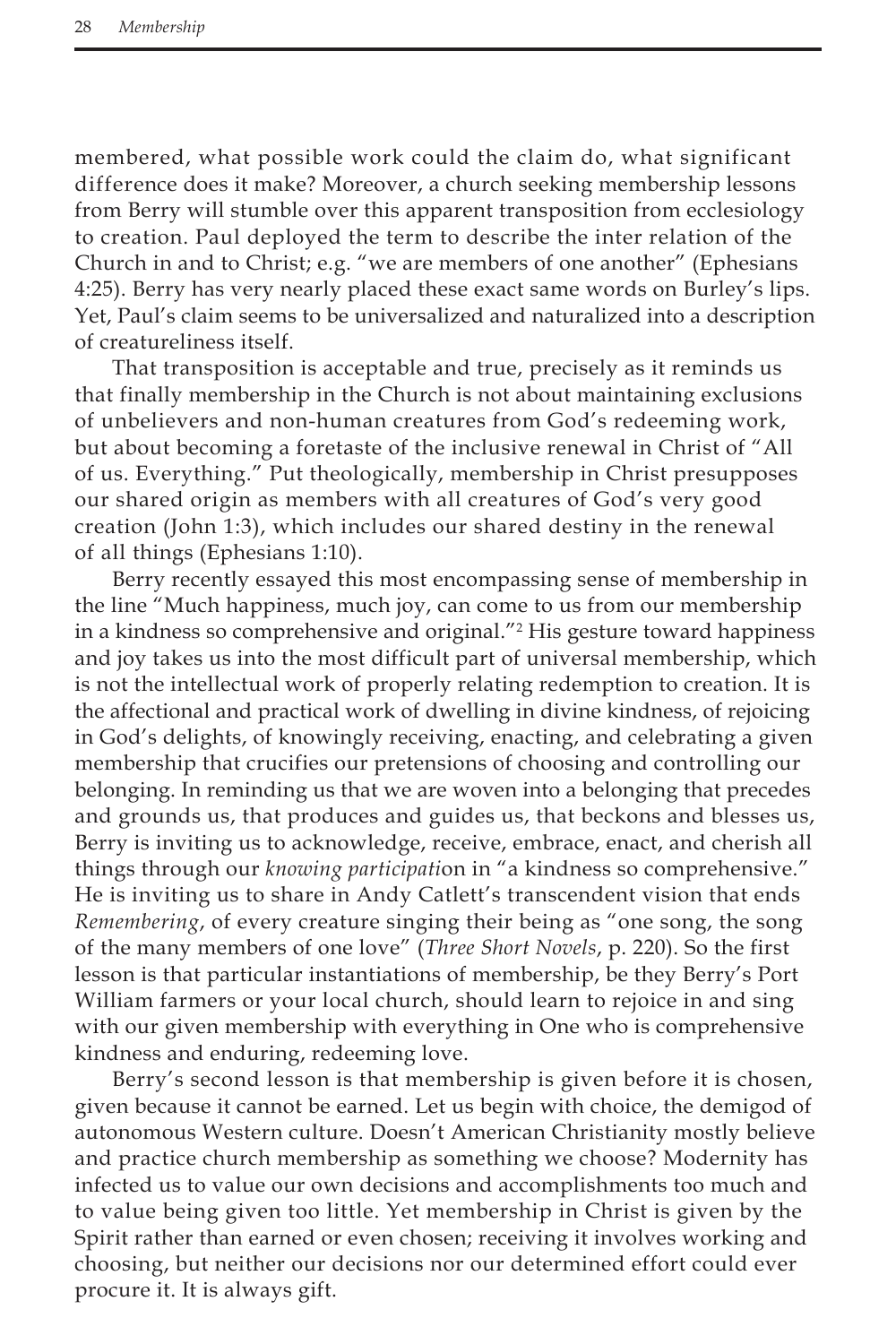membered, what possible work could the claim do, what significant difference does it make? Moreover, a church seeking membership lessons from Berry will stumble over this apparent transposition from ecclesiology to creation. Paul deployed the term to describe the inter relation of the Church in and to Christ; e.g. "we are members of one another" (Ephesians 4:25). Berry has very nearly placed these exact same words on Burley's lips. Yet, Paul's claim seems to be universalized and naturalized into a description of creatureliness itself.

That transposition is acceptable and true, precisely as it reminds us that finally membership in the Church is not about maintaining exclusions of unbelievers and non-human creatures from God's redeeming work, but about becoming a foretaste of the inclusive renewal in Christ of "All of us. Everything." Put theologically, membership in Christ presupposes our shared origin as members with all creatures of God's very good creation (John 1:3), which includes our shared destiny in the renewal of all things (Ephesians 1:10).

Berry recently essayed this most encompassing sense of membership in the line "Much happiness, much joy, can come to us from our membership in a kindness so comprehensive and original."2 His gesture toward happiness and joy takes us into the most difficult part of universal membership, which is not the intellectual work of properly relating redemption to creation. It is the affectional and practical work of dwelling in divine kindness, of rejoicing in God's delights, of knowingly receiving, enacting, and celebrating a given membership that crucifies our pretensions of choosing and controlling our belonging. In reminding us that we are woven into a belonging that precedes and grounds us, that produces and guides us, that beckons and blesses us, Berry is inviting us to acknowledge, receive, embrace, enact, and cherish all things through our *knowing participati*on in "a kindness so comprehensive." He is inviting us to share in Andy Catlett's transcendent vision that ends *Remembering*, of every creature singing their being as "one song, the song of the many members of one love" (*Three Short Novels*, p. 220). So the first lesson is that particular instantiations of membership, be they Berry's Port William farmers or your local church, should learn to rejoice in and sing with our given membership with everything in One who is comprehensive kindness and enduring, redeeming love.

Berry's second lesson is that membership is given before it is chosen, given because it cannot be earned. Let us begin with choice, the demigod of autonomous Western culture. Doesn't American Christianity mostly believe and practice church membership as something we choose? Modernity has infected us to value our own decisions and accomplishments too much and to value being given too little. Yet membership in Christ is given by the Spirit rather than earned or even chosen; receiving it involves working and choosing, but neither our decisions nor our determined effort could ever procure it. It is always gift.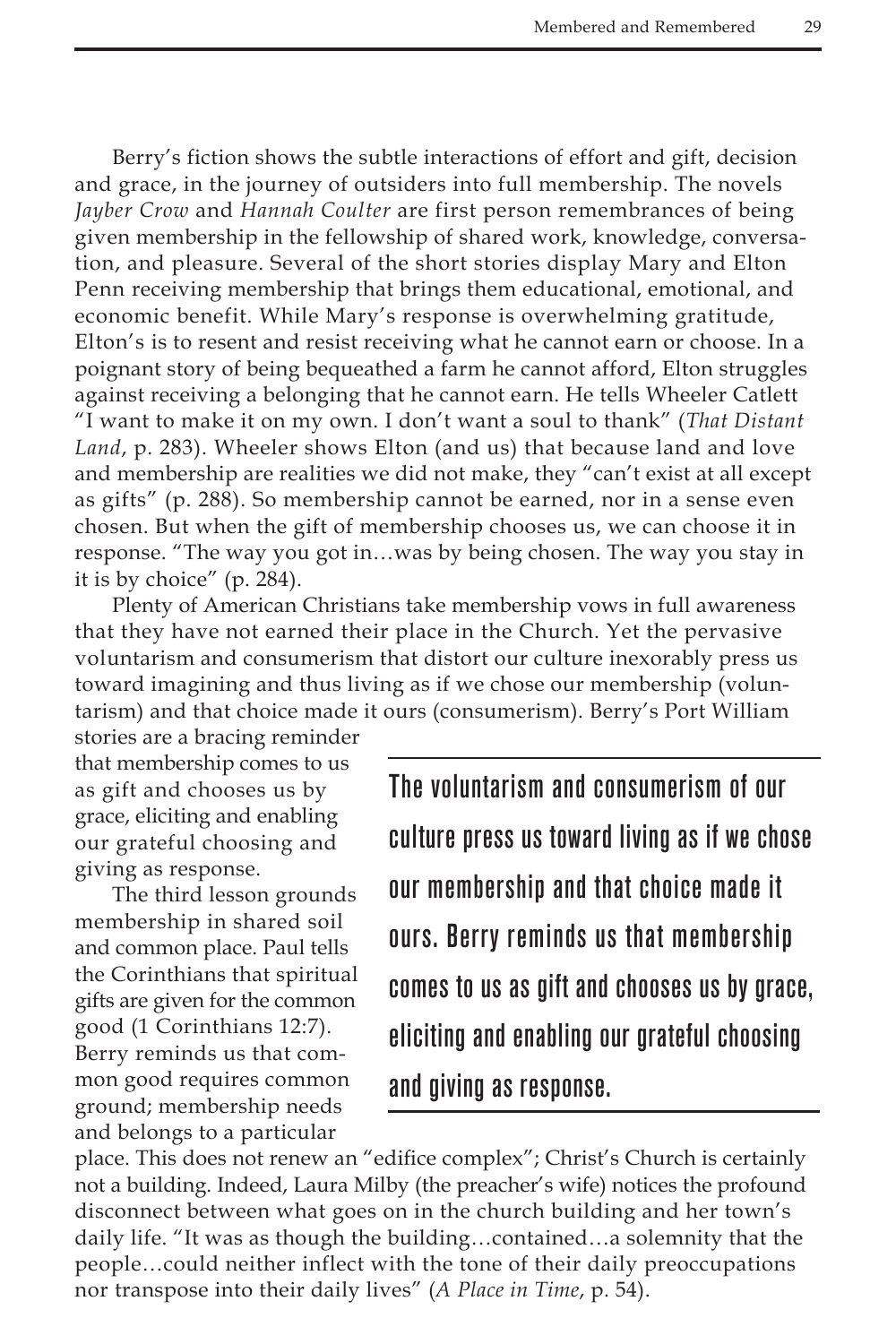Berry's fiction shows the subtle interactions of effort and gift, decision and grace, in the journey of outsiders into full membership. The novels *Jayber Crow* and *Hannah Coulter* are first person remembrances of being given membership in the fellowship of shared work, knowledge, conversation, and pleasure. Several of the short stories display Mary and Elton Penn receiving membership that brings them educational, emotional, and economic benefit. While Mary's response is overwhelming gratitude, Elton's is to resent and resist receiving what he cannot earn or choose. In a poignant story of being bequeathed a farm he cannot afford, Elton struggles against receiving a belonging that he cannot earn. He tells Wheeler Catlett "I want to make it on my own. I don't want a soul to thank" (*That Distant Land*, p. 283). Wheeler shows Elton (and us) that because land and love and membership are realities we did not make, they "can't exist at all except as gifts" (p. 288). So membership cannot be earned, nor in a sense even chosen. But when the gift of membership chooses us, we can choose it in response. "The way you got in…was by being chosen. The way you stay in it is by choice" (p. 284).

Plenty of American Christians take membership vows in full awareness that they have not earned their place in the Church. Yet the pervasive voluntarism and consumerism that distort our culture inexorably press us toward imagining and thus living as if we chose our membership (voluntarism) and that choice made it ours (consumerism). Berry's Port William

stories are a bracing reminder that membership comes to us as gift and chooses us by grace, eliciting and enabling our grateful choosing and giving as response.

The third lesson grounds membership in shared soil and common place. Paul tells the Corinthians that spiritual gifts are given for the common good (1 Corinthians 12:7). Berry reminds us that common good requires common ground; membership needs and belongs to a particular

The voluntarism and consumerism of our culture press us toward living as if we chose our membership and that choice made it ours. Berry reminds us that membership comes to us as gift and chooses us by grace, eliciting and enabling our grateful choosing and giving as response.

place. This does not renew an "edifice complex"; Christ's Church is certainly not a building. Indeed, Laura Milby (the preacher's wife) notices the profound disconnect between what goes on in the church building and her town's daily life. "It was as though the building…contained…a solemnity that the people…could neither inflect with the tone of their daily preoccupations nor transpose into their daily lives" (*A Place in Time*, p. 54).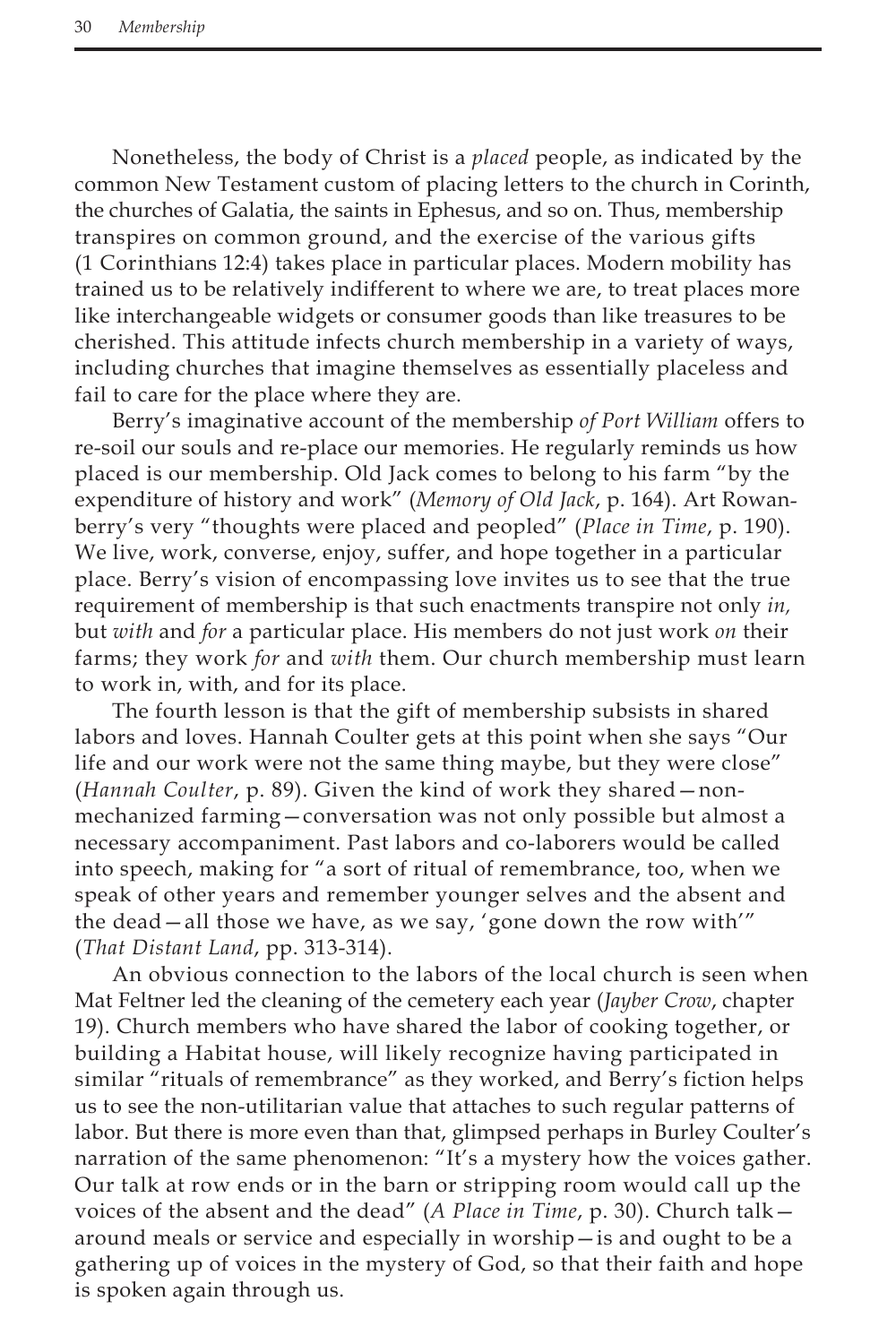Nonetheless, the body of Christ is a *placed* people, as indicated by the common New Testament custom of placing letters to the church in Corinth, the churches of Galatia, the saints in Ephesus, and so on. Thus, membership transpires on common ground, and the exercise of the various gifts (1 Corinthians 12:4) takes place in particular places. Modern mobility has trained us to be relatively indifferent to where we are, to treat places more like interchangeable widgets or consumer goods than like treasures to be cherished. This attitude infects church membership in a variety of ways, including churches that imagine themselves as essentially placeless and fail to care for the place where they are.

Berry's imaginative account of the membership *of Port William* offers to re-soil our souls and re-place our memories. He regularly reminds us how placed is our membership. Old Jack comes to belong to his farm "by the expenditure of history and work" (*Memory of Old Jack*, p. 164). Art Rowanberry's very "thoughts were placed and peopled" (*Place in Time*, p. 190). We live, work, converse, enjoy, suffer, and hope together in a particular place. Berry's vision of encompassing love invites us to see that the true requirement of membership is that such enactments transpire not only *in,* but *with* and *for* a particular place. His members do not just work *on* their farms; they work *for* and *with* them. Our church membership must learn to work in, with, and for its place.

The fourth lesson is that the gift of membership subsists in shared labors and loves. Hannah Coulter gets at this point when she says "Our life and our work were not the same thing maybe, but they were close" (*Hannah Coulter*, p. 89). Given the kind of work they shared—nonmechanized farming—conversation was not only possible but almost a necessary accompaniment. Past labors and co-laborers would be called into speech, making for "a sort of ritual of remembrance, too, when we speak of other years and remember younger selves and the absent and the dead—all those we have, as we say, 'gone down the row with'" (*That Distant Land*, pp. 313-314).

An obvious connection to the labors of the local church is seen when Mat Feltner led the cleaning of the cemetery each year (*Jayber Crow*, chapter 19). Church members who have shared the labor of cooking together, or building a Habitat house, will likely recognize having participated in similar "rituals of remembrance" as they worked, and Berry's fiction helps us to see the non-utilitarian value that attaches to such regular patterns of labor. But there is more even than that, glimpsed perhaps in Burley Coulter's narration of the same phenomenon: "It's a mystery how the voices gather. Our talk at row ends or in the barn or stripping room would call up the voices of the absent and the dead" (*A Place in Time*, p. 30). Church talk around meals or service and especially in worship—is and ought to be a gathering up of voices in the mystery of God, so that their faith and hope is spoken again through us.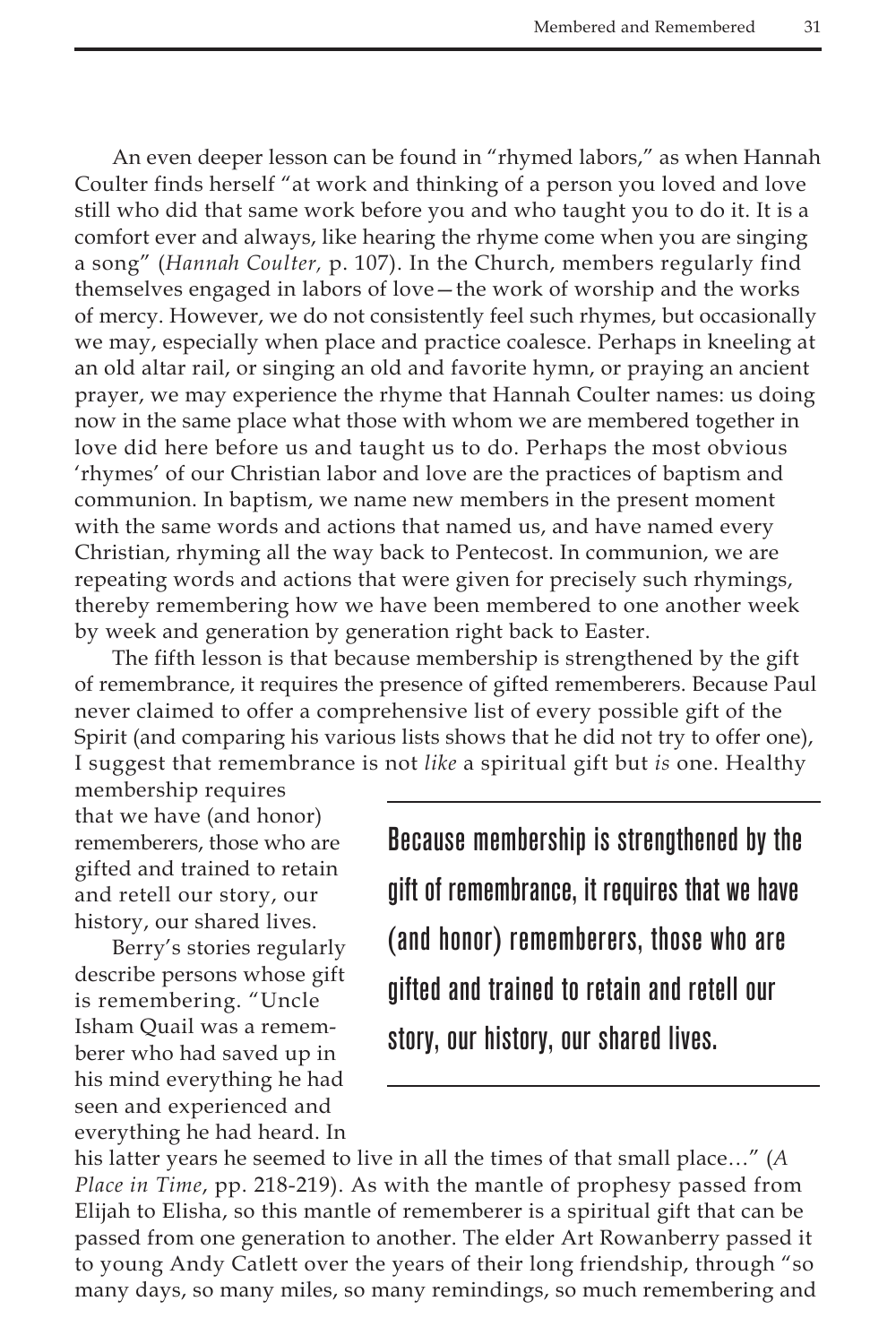An even deeper lesson can be found in "rhymed labors," as when Hannah Coulter finds herself "at work and thinking of a person you loved and love still who did that same work before you and who taught you to do it. It is a comfort ever and always, like hearing the rhyme come when you are singing a song" (*Hannah Coulter,* p. 107). In the Church, members regularly find themselves engaged in labors of love—the work of worship and the works of mercy. However, we do not consistently feel such rhymes, but occasionally we may, especially when place and practice coalesce. Perhaps in kneeling at an old altar rail, or singing an old and favorite hymn, or praying an ancient prayer, we may experience the rhyme that Hannah Coulter names: us doing now in the same place what those with whom we are membered together in love did here before us and taught us to do. Perhaps the most obvious 'rhymes' of our Christian labor and love are the practices of baptism and communion. In baptism, we name new members in the present moment with the same words and actions that named us, and have named every Christian, rhyming all the way back to Pentecost. In communion, we are repeating words and actions that were given for precisely such rhymings, thereby remembering how we have been membered to one another week by week and generation by generation right back to Easter.

The fifth lesson is that because membership is strengthened by the gift of remembrance, it requires the presence of gifted rememberers. Because Paul never claimed to offer a comprehensive list of every possible gift of the Spirit (and comparing his various lists shows that he did not try to offer one), I suggest that remembrance is not *like* a spiritual gift but *is* one. Healthy

membership requires that we have (and honor) rememberers, those who are gifted and trained to retain and retell our story, our history, our shared lives.

Berry's stories regularly describe persons whose gift is remembering. "Uncle Isham Quail was a rememberer who had saved up in his mind everything he had seen and experienced and everything he had heard. In Because membership is strengthened by the gift of remembrance, it requires that we have (and honor) rememberers, those who are gifted and trained to retain and retell our story, our history, our shared lives.

his latter years he seemed to live in all the times of that small place…" (*A Place in Time*, pp. 218-219). As with the mantle of prophesy passed from Elijah to Elisha, so this mantle of rememberer is a spiritual gift that can be passed from one generation to another. The elder Art Rowanberry passed it to young Andy Catlett over the years of their long friendship, through "so many days, so many miles, so many remindings, so much remembering and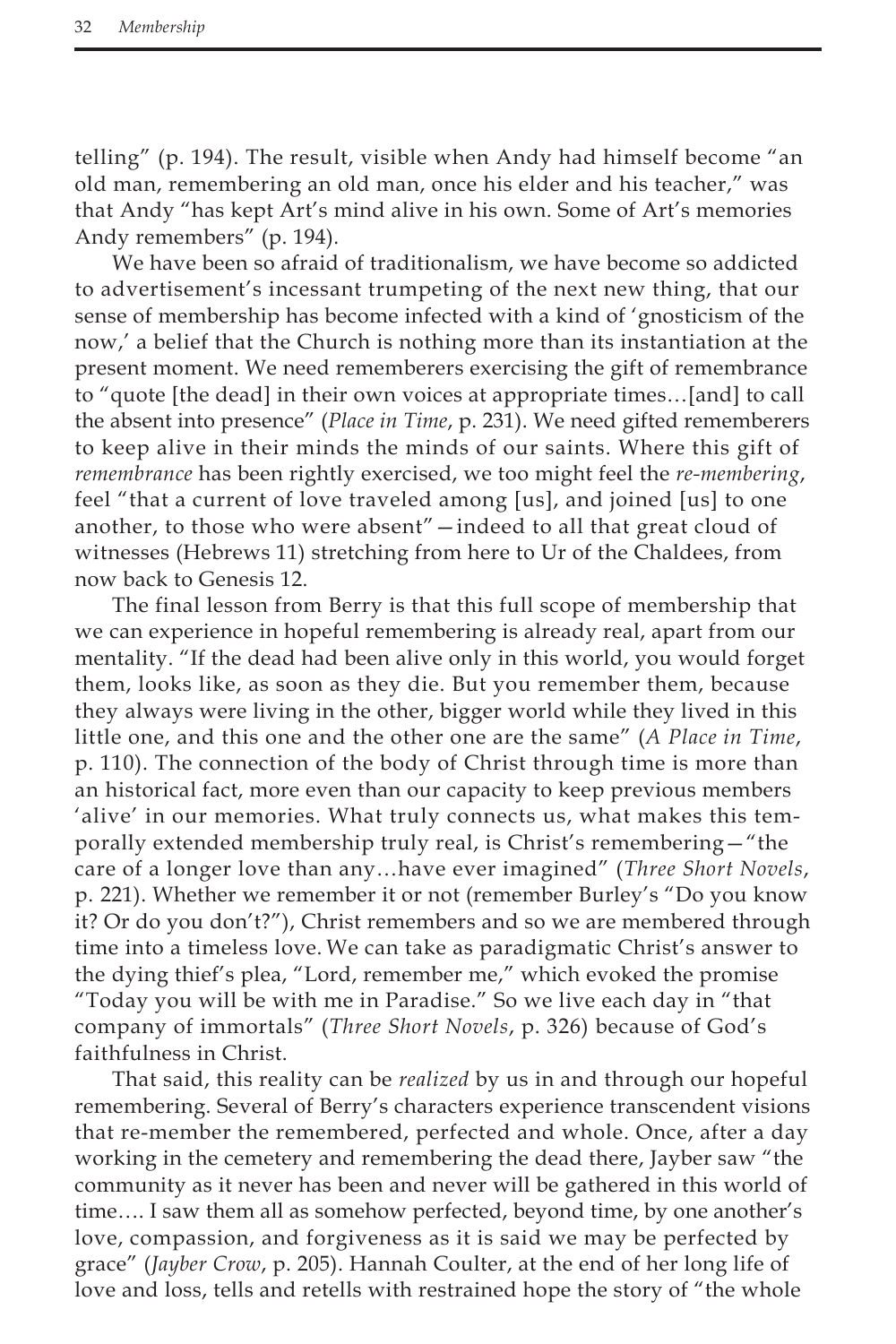telling" (p. 194). The result, visible when Andy had himself become "an old man, remembering an old man, once his elder and his teacher," was that Andy "has kept Art's mind alive in his own. Some of Art's memories Andy remembers" (p. 194).

We have been so afraid of traditionalism, we have become so addicted to advertisement's incessant trumpeting of the next new thing, that our sense of membership has become infected with a kind of 'gnosticism of the now,' a belief that the Church is nothing more than its instantiation at the present moment. We need rememberers exercising the gift of remembrance to "quote [the dead] in their own voices at appropriate times…[and] to call the absent into presence" (*Place in Time*, p. 231). We need gifted rememberers to keep alive in their minds the minds of our saints. Where this gift of *remembrance* has been rightly exercised, we too might feel the *re-membering*, feel "that a current of love traveled among [us], and joined [us] to one another, to those who were absent"—indeed to all that great cloud of witnesses (Hebrews 11) stretching from here to Ur of the Chaldees, from now back to Genesis 12.

The final lesson from Berry is that this full scope of membership that we can experience in hopeful remembering is already real, apart from our mentality. "If the dead had been alive only in this world, you would forget them, looks like, as soon as they die. But you remember them, because they always were living in the other, bigger world while they lived in this little one, and this one and the other one are the same" (*A Place in Time*, p. 110). The connection of the body of Christ through time is more than an historical fact, more even than our capacity to keep previous members 'alive' in our memories. What truly connects us, what makes this temporally extended membership truly real, is Christ's remembering—"the care of a longer love than any…have ever imagined" (*Three Short Novels*, p. 221). Whether we remember it or not (remember Burley's "Do you know it? Or do you don't?"), Christ remembers and so we are membered through time into a timeless love. We can take as paradigmatic Christ's answer to the dying thief's plea, "Lord, remember me," which evoked the promise "Today you will be with me in Paradise." So we live each day in "that company of immortals" (*Three Short Novels*, p. 326) because of God's faithfulness in Christ.

That said, this reality can be *realized* by us in and through our hopeful remembering. Several of Berry's characters experience transcendent visions that re-member the remembered, perfected and whole. Once, after a day working in the cemetery and remembering the dead there, Jayber saw "the community as it never has been and never will be gathered in this world of time…. I saw them all as somehow perfected, beyond time, by one another's love, compassion, and forgiveness as it is said we may be perfected by grace" (*Jayber Crow*, p. 205). Hannah Coulter, at the end of her long life of love and loss, tells and retells with restrained hope the story of "the whole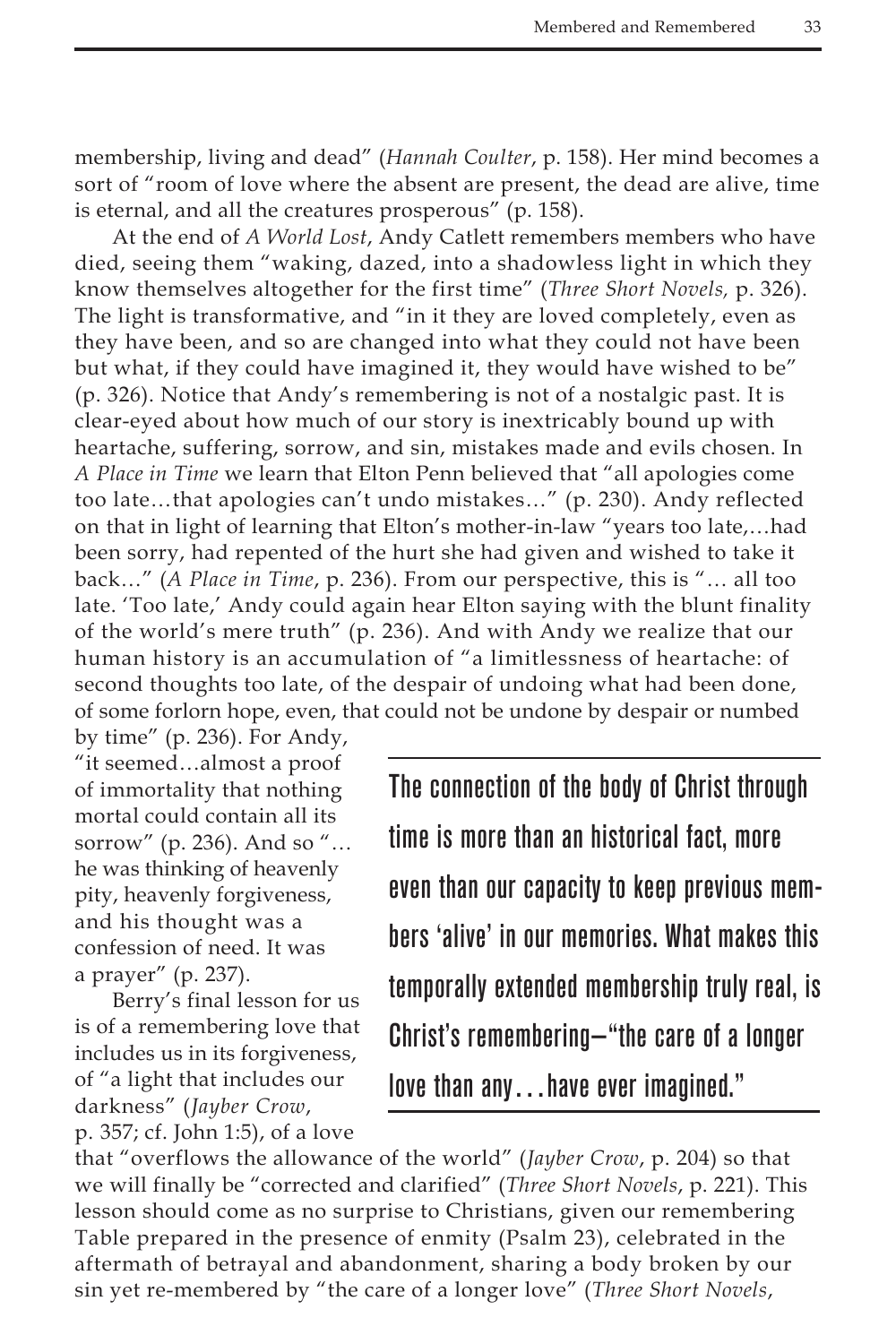membership, living and dead" (*Hannah Coulter*, p. 158). Her mind becomes a sort of "room of love where the absent are present, the dead are alive, time is eternal, and all the creatures prosperous" (p. 158).

At the end of *A World Lost*, Andy Catlett remembers members who have died, seeing them "waking, dazed, into a shadowless light in which they know themselves altogether for the first time" (*Three Short Novels,* p. 326). The light is transformative, and "in it they are loved completely, even as they have been, and so are changed into what they could not have been but what, if they could have imagined it, they would have wished to be" (p. 326). Notice that Andy's remembering is not of a nostalgic past. It is clear-eyed about how much of our story is inextricably bound up with heartache, suffering, sorrow, and sin, mistakes made and evils chosen. In *A Place in Time* we learn that Elton Penn believed that "all apologies come too late…that apologies can't undo mistakes…" (p. 230). Andy reflected on that in light of learning that Elton's mother-in-law "years too late,…had been sorry, had repented of the hurt she had given and wished to take it back…" (*A Place in Time*, p. 236). From our perspective, this is "… all too late. 'Too late,' Andy could again hear Elton saying with the blunt finality of the world's mere truth" (p. 236). And with Andy we realize that our human history is an accumulation of "a limitlessness of heartache: of second thoughts too late, of the despair of undoing what had been done, of some forlorn hope, even, that could not be undone by despair or numbed

by time" (p. 236). For Andy, "it seemed…almost a proof of immortality that nothing mortal could contain all its sorrow" (p. 236). And so "… he was thinking of heavenly pity, heavenly forgiveness, and his thought was a confession of need. It was a prayer" (p. 237).

Berry's final lesson for us is of a remembering love that includes us in its forgiveness, of "a light that includes our darkness" (*Jayber Crow*, p. 357; cf. John 1:5), of a love

The connection of the body of Christ through time is more than an historical fact, more even than our capacity to keep previous members 'alive' in our memories. What makes this temporally extended membership truly real, is Christ's remembering—"the care of a longer love than any…have ever imagined."

that "overflows the allowance of the world" (*Jayber Crow*, p. 204) so that we will finally be "corrected and clarified" (*Three Short Novels*, p. 221). This lesson should come as no surprise to Christians, given our remembering Table prepared in the presence of enmity (Psalm 23), celebrated in the aftermath of betrayal and abandonment, sharing a body broken by our sin yet re-membered by "the care of a longer love" (*Three Short Novels*,